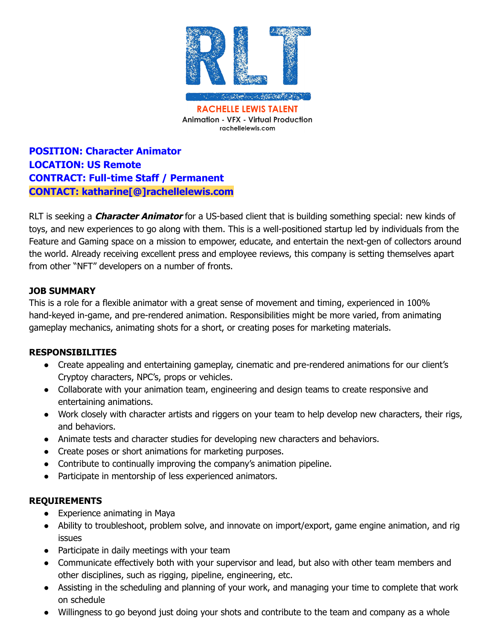

**POSITION: Character Animator LOCATION: US Remote CONTRACT: Full-time Staff / Permanent CONTACT: katharine[@]rachellelewis.com**

RLT is seeking a **Character Animator** for a US-based client that is building something special: new kinds of toys, and new experiences to go along with them. This is a well-positioned startup led by individuals from the Feature and Gaming space on a mission to empower, educate, and entertain the next-gen of collectors around the world. Already receiving excellent press and employee reviews, this company is setting themselves apart from other "NFT" developers on a number of fronts.

### **JOB SUMMARY**

This is a role for a flexible animator with a great sense of movement and timing, experienced in 100% hand-keyed in-game, and pre-rendered animation. Responsibilities might be more varied, from animating gameplay mechanics, animating shots for a short, or creating poses for marketing materials.

# **RESPONSIBILITIES**

- Create appealing and entertaining gameplay, cinematic and pre-rendered animations for our client's Cryptoy characters, NPC's, props or vehicles.
- Collaborate with your animation team, engineering and design teams to create responsive and entertaining animations.
- Work closely with character artists and riggers on your team to help develop new characters, their rigs, and behaviors.
- Animate tests and character studies for developing new characters and behaviors.
- Create poses or short animations for marketing purposes.
- Contribute to continually improving the company's animation pipeline.
- Participate in mentorship of less experienced animators.

# **REQUIREMENTS**

- Experience animating in Maya
- Ability to troubleshoot, problem solve, and innovate on import/export, game engine animation, and rig issues
- Participate in daily meetings with your team
- Communicate effectively both with your supervisor and lead, but also with other team members and other disciplines, such as rigging, pipeline, engineering, etc.
- Assisting in the scheduling and planning of your work, and managing your time to complete that work on schedule
- Willingness to go beyond just doing your shots and contribute to the team and company as a whole